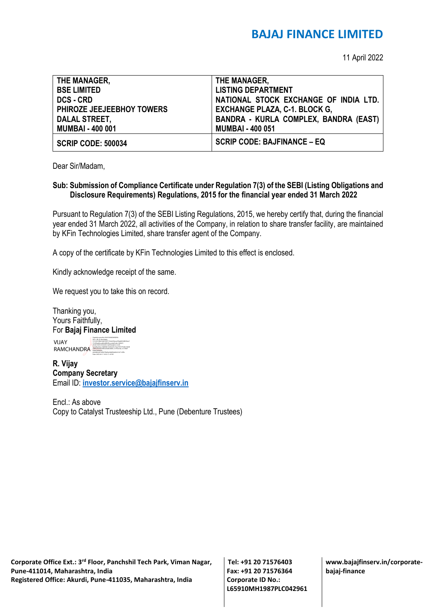## **BAJAJ FINANCE LIMITED**

11 April 2022

| THE MANAGER,              | THE MANAGER,                          |
|---------------------------|---------------------------------------|
| <b>BSE LIMITED</b>        | <b>LISTING DEPARTMENT</b>             |
| <b>DCS - CRD</b>          | NATIONAL STOCK EXCHANGE OF INDIA LTD. |
| PHIROZE JEEJEEBHOY TOWERS | <b>EXCHANGE PLAZA, C-1. BLOCK G,</b>  |
| <b>DALAL STREET,</b>      | BANDRA - KURLA COMPLEX, BANDRA (EAST) |
| <b>MUMBAI - 400 001</b>   | <b>MUMBAI - 400 051</b>               |
| <b>SCRIP CODE: 500034</b> | <b>SCRIP CODE: BAJFINANCE - EQ</b>    |

Dear Sir/Madam,

## **Sub: Submission of Compliance Certificate under Regulation 7(3) of the SEBI (Listing Obligations and Disclosure Requirements) Regulations, 2015 for the financial year ended 31 March 2022**

Pursuant to Regulation 7(3) of the SEBI Listing Regulations, 2015, we hereby certify that, during the financial year ended 31 March 2022, all activities of the Company, in relation to share transfer facility, are maintained by KFin Technologies Limited, share transfer agent of the Company.

A copy of the certificate by KFin Technologies Limited to this effect is enclosed.

Kindly acknowledge receipt of the same.

We request you to take this on record.

Thanking you, Yours Faithfully, For **Bajaj Finance Limited**

Digitally signed by VIJAY RAMCHANDRA

VIJAY **RAMCHANDRA** DN: c=IN, st=Karnataka, 2.5.4.20=64bc3edc7e65172c0a53beca53faa863408256acf 57c096ad0ecad64c4f843fa, postalCode=560027, street=behind double road banglore south, serialNumber=fc8684b15269c625c72aa7633770e8c160d8 44db57fa2ef224f0cee0a8c26d0e, o=Personal, cn=VIJAY RAMCHANDRA, pseudonym=a6027f4d5e624bffebb9b161671cff9c Date: 2022.04.11 16:52:17 +05'30'

**R. Vijay Company Secretary** Email ID: **[investor.service@bajajfinserv.in](mailto:investor.service@bajajfinserv.in)**

Encl.: As above Copy to Catalyst Trusteeship Ltd., Pune (Debenture Trustees)

**Corporate Office Ext.: 3rd Floor, Panchshil Tech Park, Viman Nagar, Pune-411014, Maharashtra, India Registered Office: Akurdi, Pune-411035, Maharashtra, India** 

**Tel: +91 20 71576403 Fax: +91 20 71576364 Corporate ID No.: L65910MH1987PLC042961** **www.bajajfinserv.in/corporatebajaj-finance**